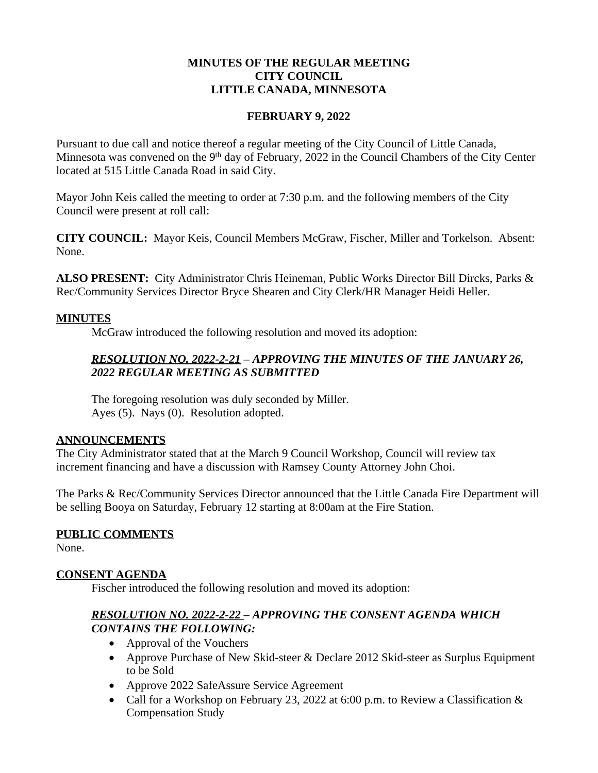#### **MINUTES OF THE REGULAR MEETING CITY COUNCIL LITTLE CANADA, MINNESOTA**

#### **FEBRUARY 9, 2022**

Pursuant to due call and notice thereof a regular meeting of the City Council of Little Canada, Minnesota was convened on the 9<sup>th</sup> day of February, 2022 in the Council Chambers of the City Center located at 515 Little Canada Road in said City.

Mayor John Keis called the meeting to order at 7:30 p.m. and the following members of the City Council were present at roll call:

**CITY COUNCIL:** Mayor Keis, Council Members McGraw, Fischer, Miller and Torkelson. Absent: None.

**ALSO PRESENT:** City Administrator Chris Heineman, Public Works Director Bill Dircks, Parks & Rec/Community Services Director Bryce Shearen and City Clerk/HR Manager Heidi Heller.

#### **MINUTES**

McGraw introduced the following resolution and moved its adoption:

## *RESOLUTION NO. 2022-2-21 – APPROVING THE MINUTES OF THE JANUARY 26, 2022 REGULAR MEETING AS SUBMITTED*

The foregoing resolution was duly seconded by Miller. Ayes (5). Nays (0). Resolution adopted.

#### **ANNOUNCEMENTS**

The City Administrator stated that at the March 9 Council Workshop, Council will review tax increment financing and have a discussion with Ramsey County Attorney John Choi.

The Parks & Rec/Community Services Director announced that the Little Canada Fire Department will be selling Booya on Saturday, February 12 starting at 8:00am at the Fire Station.

### **PUBLIC COMMENTS**

None.

### **CONSENT AGENDA**

Fischer introduced the following resolution and moved its adoption:

## *RESOLUTION NO. 2022-2-22 – APPROVING THE CONSENT AGENDA WHICH CONTAINS THE FOLLOWING:*

- Approval of the Vouchers
- Approve Purchase of New Skid-steer & Declare 2012 Skid-steer as Surplus Equipment to be Sold
- Approve 2022 SafeAssure Service Agreement
- Call for a Workshop on February 23, 2022 at 6:00 p.m. to Review a Classification  $\&$ Compensation Study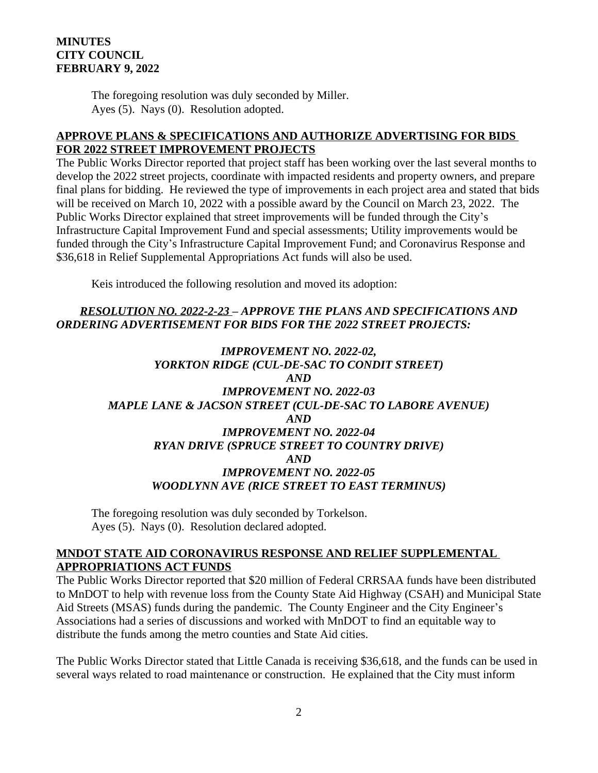#### **MINUTES CITY COUNCIL FEBRUARY 9, 2022**

The foregoing resolution was duly seconded by Miller. Ayes (5). Nays (0). Resolution adopted.

#### **APPROVE PLANS & SPECIFICATIONS AND AUTHORIZE ADVERTISING FOR BIDS FOR 2022 STREET IMPROVEMENT PROJECTS**

The Public Works Director reported that project staff has been working over the last several months to develop the 2022 street projects, coordinate with impacted residents and property owners, and prepare final plans for bidding. He reviewed the type of improvements in each project area and stated that bids will be received on March 10, 2022 with a possible award by the Council on March 23, 2022. The Public Works Director explained that street improvements will be funded through the City's Infrastructure Capital Improvement Fund and special assessments; Utility improvements would be funded through the City's Infrastructure Capital Improvement Fund; and Coronavirus Response and \$36,618 in Relief Supplemental Appropriations Act funds will also be used.

Keis introduced the following resolution and moved its adoption:

## *RESOLUTION NO. 2022-2-23 – APPROVE THE PLANS AND SPECIFICATIONS AND ORDERING ADVERTISEMENT FOR BIDS FOR THE 2022 STREET PROJECTS:*

## *IMPROVEMENT NO. 2022-02, YORKTON RIDGE (CUL-DE-SAC TO CONDIT STREET) AND IMPROVEMENT NO. 2022-03 MAPLE LANE & JACSON STREET (CUL-DE-SAC TO LABORE AVENUE) AND IMPROVEMENT NO. 2022-04 RYAN DRIVE (SPRUCE STREET TO COUNTRY DRIVE) AND IMPROVEMENT NO. 2022-05 WOODLYNN AVE (RICE STREET TO EAST TERMINUS)*

The foregoing resolution was duly seconded by Torkelson. Ayes (5). Nays (0). Resolution declared adopted.

#### **MNDOT STATE AID CORONAVIRUS RESPONSE AND RELIEF SUPPLEMENTAL APPROPRIATIONS ACT FUNDS**

The Public Works Director reported that \$20 million of Federal CRRSAA funds have been distributed to MnDOT to help with revenue loss from the County State Aid Highway (CSAH) and Municipal State Aid Streets (MSAS) funds during the pandemic. The County Engineer and the City Engineer's Associations had a series of discussions and worked with MnDOT to find an equitable way to distribute the funds among the metro counties and State Aid cities.

The Public Works Director stated that Little Canada is receiving \$36,618, and the funds can be used in several ways related to road maintenance or construction. He explained that the City must inform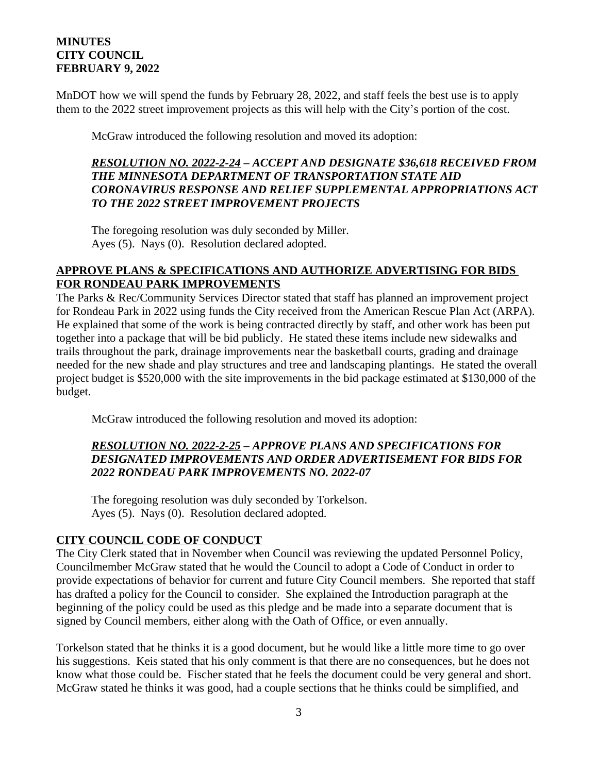#### **MINUTES CITY COUNCIL FEBRUARY 9, 2022**

MnDOT how we will spend the funds by February 28, 2022, and staff feels the best use is to apply them to the 2022 street improvement projects as this will help with the City's portion of the cost.

McGraw introduced the following resolution and moved its adoption:

#### *RESOLUTION NO. 2022-2-24 – ACCEPT AND DESIGNATE \$36,618 RECEIVED FROM THE MINNESOTA DEPARTMENT OF TRANSPORTATION STATE AID CORONAVIRUS RESPONSE AND RELIEF SUPPLEMENTAL APPROPRIATIONS ACT TO THE 2022 STREET IMPROVEMENT PROJECTS*

The foregoing resolution was duly seconded by Miller. Ayes (5). Nays (0). Resolution declared adopted.

#### **APPROVE PLANS & SPECIFICATIONS AND AUTHORIZE ADVERTISING FOR BIDS FOR RONDEAU PARK IMPROVEMENTS**

The Parks & Rec/Community Services Director stated that staff has planned an improvement project for Rondeau Park in 2022 using funds the City received from the American Rescue Plan Act (ARPA). He explained that some of the work is being contracted directly by staff, and other work has been put together into a package that will be bid publicly. He stated these items include new sidewalks and trails throughout the park, drainage improvements near the basketball courts, grading and drainage needed for the new shade and play structures and tree and landscaping plantings. He stated the overall project budget is \$520,000 with the site improvements in the bid package estimated at \$130,000 of the budget.

McGraw introduced the following resolution and moved its adoption:

## *RESOLUTION NO. 2022-2-25 – APPROVE PLANS AND SPECIFICATIONS FOR DESIGNATED IMPROVEMENTS AND ORDER ADVERTISEMENT FOR BIDS FOR 2022 RONDEAU PARK IMPROVEMENTS NO. 2022-07*

The foregoing resolution was duly seconded by Torkelson. Ayes (5). Nays (0). Resolution declared adopted.

### **CITY COUNCIL CODE OF CONDUCT**

The City Clerk stated that in November when Council was reviewing the updated Personnel Policy, Councilmember McGraw stated that he would the Council to adopt a Code of Conduct in order to provide expectations of behavior for current and future City Council members. She reported that staff has drafted a policy for the Council to consider. She explained the Introduction paragraph at the beginning of the policy could be used as this pledge and be made into a separate document that is signed by Council members, either along with the Oath of Office, or even annually.

Torkelson stated that he thinks it is a good document, but he would like a little more time to go over his suggestions. Keis stated that his only comment is that there are no consequences, but he does not know what those could be. Fischer stated that he feels the document could be very general and short. McGraw stated he thinks it was good, had a couple sections that he thinks could be simplified, and